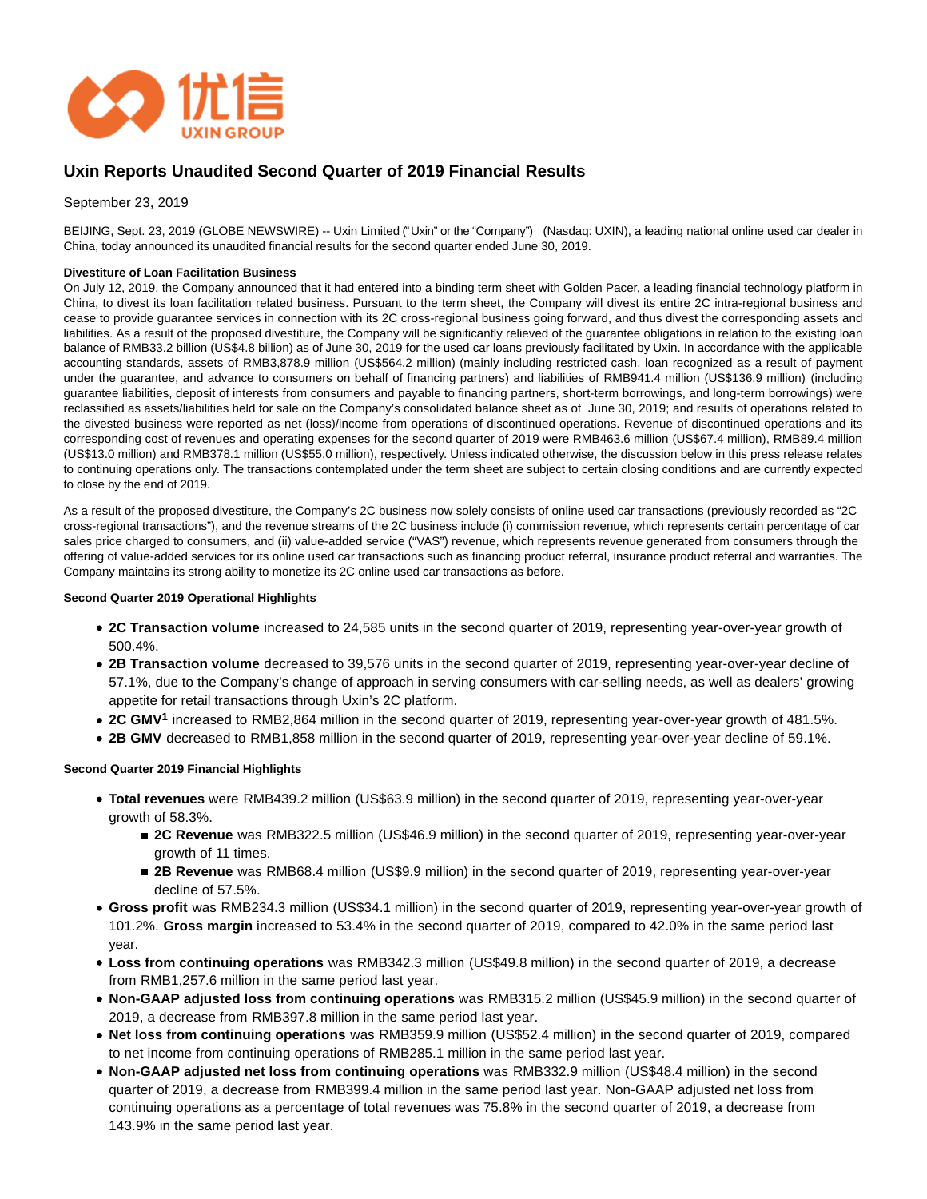

# **Uxin Reports Unaudited Second Quarter of 2019 Financial Results**

September 23, 2019

BEIJING, Sept. 23, 2019 (GLOBE NEWSWIRE) -- Uxin Limited ("Uxin" or the "Company") (Nasdaq: UXIN), a leading national online used car dealer in China, today announced its unaudited financial results for the second quarter ended June 30, 2019.

## **Divestiture of Loan Facilitation Business**

On July 12, 2019, the Company announced that it had entered into a binding term sheet with Golden Pacer, a leading financial technology platform in China, to divest its loan facilitation related business. Pursuant to the term sheet, the Company will divest its entire 2C intra-regional business and cease to provide guarantee services in connection with its 2C cross-regional business going forward, and thus divest the corresponding assets and liabilities. As a result of the proposed divestiture, the Company will be significantly relieved of the guarantee obligations in relation to the existing loan balance of RMB33.2 billion (US\$4.8 billion) as of June 30, 2019 for the used car loans previously facilitated by Uxin. In accordance with the applicable accounting standards, assets of RMB3,878.9 million (US\$564.2 million) (mainly including restricted cash, loan recognized as a result of payment under the guarantee, and advance to consumers on behalf of financing partners) and liabilities of RMB941.4 million (US\$136.9 million) (including guarantee liabilities, deposit of interests from consumers and payable to financing partners, short-term borrowings, and long-term borrowings) were reclassified as assets/liabilities held for sale on the Company's consolidated balance sheet as of June 30, 2019; and results of operations related to the divested business were reported as net (loss)/income from operations of discontinued operations. Revenue of discontinued operations and its corresponding cost of revenues and operating expenses for the second quarter of 2019 were RMB463.6 million (US\$67.4 million), RMB89.4 million (US\$13.0 million) and RMB378.1 million (US\$55.0 million), respectively. Unless indicated otherwise, the discussion below in this press release relates to continuing operations only. The transactions contemplated under the term sheet are subject to certain closing conditions and are currently expected to close by the end of 2019.

As a result of the proposed divestiture, the Company's 2C business now solely consists of online used car transactions (previously recorded as "2C cross-regional transactions"), and the revenue streams of the 2C business include (i) commission revenue, which represents certain percentage of car sales price charged to consumers, and (ii) value-added service ("VAS") revenue, which represents revenue generated from consumers through the offering of value-added services for its online used car transactions such as financing product referral, insurance product referral and warranties. The Company maintains its strong ability to monetize its 2C online used car transactions as before.

## **Second Quarter 2019 Operational Highlights**

- **2C Transaction volume** increased to 24,585 units in the second quarter of 2019, representing year-over-year growth of 500.4%.
- **2B Transaction volume** decreased to 39,576 units in the second quarter of 2019, representing year-over-year decline of 57.1%, due to the Company's change of approach in serving consumers with car-selling needs, as well as dealers' growing appetite for retail transactions through Uxin's 2C platform.
- **2C GMV<sup>1</sup>** increased to RMB2,864 million in the second quarter of 2019, representing year-over-year growth of 481.5%.
- **2B GMV** decreased to RMB1,858 million in the second quarter of 2019, representing year-over-year decline of 59.1%.

### **Second Quarter 2019 Financial Highlights**

- **Total revenues** were RMB439.2 million (US\$63.9 million) in the second quarter of 2019, representing year-over-year growth of 58.3%.
	- **2C Revenue** was RMB322.5 million (US\$46.9 million) in the second quarter of 2019, representing year-over-year growth of 11 times.
	- **2B Revenue** was RMB68.4 million (US\$9.9 million) in the second quarter of 2019, representing year-over-year decline of 57.5%.
- **Gross profit** was RMB234.3 million (US\$34.1 million) in the second quarter of 2019, representing year-over-year growth of 101.2%. **Gross margin** increased to 53.4% in the second quarter of 2019, compared to 42.0% in the same period last year.
- **Loss from continuing operations** was RMB342.3 million (US\$49.8 million) in the second quarter of 2019, a decrease from RMB1,257.6 million in the same period last year.
- **Non-GAAP adjusted loss from continuing operations** was RMB315.2 million (US\$45.9 million) in the second quarter of 2019, a decrease from RMB397.8 million in the same period last year.
- **Net loss from continuing operations** was RMB359.9 million (US\$52.4 million) in the second quarter of 2019, compared to net income from continuing operations of RMB285.1 million in the same period last year.
- **Non-GAAP adjusted net loss from continuing operations** was RMB332.9 million (US\$48.4 million) in the second quarter of 2019, a decrease from RMB399.4 million in the same period last year. Non-GAAP adjusted net loss from continuing operations as a percentage of total revenues was 75.8% in the second quarter of 2019, a decrease from 143.9% in the same period last year.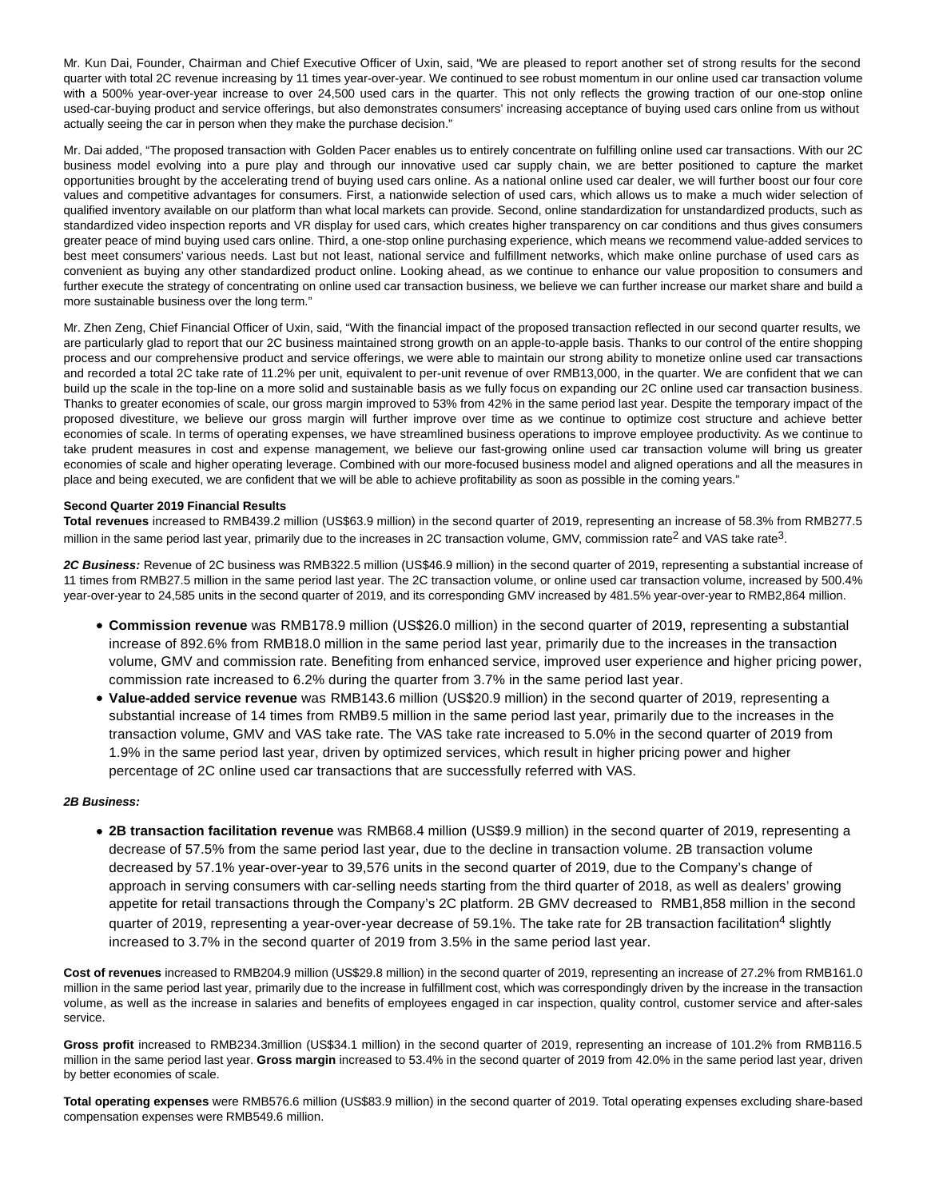Mr. Kun Dai, Founder, Chairman and Chief Executive Officer of Uxin, said, "We are pleased to report another set of strong results for the second quarter with total 2C revenue increasing by 11 times year-over-year. We continued to see robust momentum in our online used car transaction volume with a 500% year-over-year increase to over 24,500 used cars in the quarter. This not only reflects the growing traction of our one-stop online used-car-buying product and service offerings, but also demonstrates consumers' increasing acceptance of buying used cars online from us without actually seeing the car in person when they make the purchase decision."

Mr. Dai added, "The proposed transaction with Golden Pacer enables us to entirely concentrate on fulfilling online used car transactions. With our 2C business model evolving into a pure play and through our innovative used car supply chain, we are better positioned to capture the market opportunities brought by the accelerating trend of buying used cars online. As a national online used car dealer, we will further boost our four core values and competitive advantages for consumers. First, a nationwide selection of used cars, which allows us to make a much wider selection of qualified inventory available on our platform than what local markets can provide. Second, online standardization for unstandardized products, such as standardized video inspection reports and VR display for used cars, which creates higher transparency on car conditions and thus gives consumers greater peace of mind buying used cars online. Third, a one-stop online purchasing experience, which means we recommend value-added services to best meet consumers' various needs. Last but not least, national service and fulfillment networks, which make online purchase of used cars as convenient as buying any other standardized product online. Looking ahead, as we continue to enhance our value proposition to consumers and further execute the strategy of concentrating on online used car transaction business, we believe we can further increase our market share and build a more sustainable business over the long term."

Mr. Zhen Zeng, Chief Financial Officer of Uxin, said, "With the financial impact of the proposed transaction reflected in our second quarter results, we are particularly glad to report that our 2C business maintained strong growth on an apple-to-apple basis. Thanks to our control of the entire shopping process and our comprehensive product and service offerings, we were able to maintain our strong ability to monetize online used car transactions and recorded a total 2C take rate of 11.2% per unit, equivalent to per-unit revenue of over RMB13,000, in the quarter. We are confident that we can build up the scale in the top-line on a more solid and sustainable basis as we fully focus on expanding our 2C online used car transaction business. Thanks to greater economies of scale, our gross margin improved to 53% from 42% in the same period last year. Despite the temporary impact of the proposed divestiture, we believe our gross margin will further improve over time as we continue to optimize cost structure and achieve better economies of scale. In terms of operating expenses, we have streamlined business operations to improve employee productivity. As we continue to take prudent measures in cost and expense management, we believe our fast-growing online used car transaction volume will bring us greater economies of scale and higher operating leverage. Combined with our more-focused business model and aligned operations and all the measures in place and being executed, we are confident that we will be able to achieve profitability as soon as possible in the coming years."

#### **Second Quarter 2019 Financial Results**

**Total revenues** increased to RMB439.2 million (US\$63.9 million) in the second quarter of 2019, representing an increase of 58.3% from RMB277.5 million in the same period last year, primarily due to the increases in 2C transaction volume, GMV, commission rate<sup>2</sup> and VAS take rate<sup>3</sup>.

**2C Business:** Revenue of 2C business was RMB322.5 million (US\$46.9 million) in the second quarter of 2019, representing a substantial increase of 11 times from RMB27.5 million in the same period last year. The 2C transaction volume, or online used car transaction volume, increased by 500.4% year-over-year to 24,585 units in the second quarter of 2019, and its corresponding GMV increased by 481.5% year-over-year to RMB2,864 million.

- **Commission revenue** was RMB178.9 million (US\$26.0 million) in the second quarter of 2019, representing a substantial increase of 892.6% from RMB18.0 million in the same period last year, primarily due to the increases in the transaction volume, GMV and commission rate. Benefiting from enhanced service, improved user experience and higher pricing power, commission rate increased to 6.2% during the quarter from 3.7% in the same period last year.
- **Value-added service revenue** was RMB143.6 million (US\$20.9 million) in the second quarter of 2019, representing a substantial increase of 14 times from RMB9.5 million in the same period last year, primarily due to the increases in the transaction volume, GMV and VAS take rate. The VAS take rate increased to 5.0% in the second quarter of 2019 from 1.9% in the same period last year, driven by optimized services, which result in higher pricing power and higher percentage of 2C online used car transactions that are successfully referred with VAS.

#### **2B Business:**

**2B transaction facilitation revenue** was RMB68.4 million (US\$9.9 million) in the second quarter of 2019, representing a decrease of 57.5% from the same period last year, due to the decline in transaction volume. 2B transaction volume decreased by 57.1% year-over-year to 39,576 units in the second quarter of 2019, due to the Company's change of approach in serving consumers with car-selling needs starting from the third quarter of 2018, as well as dealers' growing appetite for retail transactions through the Company's 2C platform. 2B GMV decreased to RMB1,858 million in the second quarter of 2019, representing a year-over-year decrease of 59.1%. The take rate for 2B transaction facilitation<sup>4</sup> slightly increased to 3.7% in the second quarter of 2019 from 3.5% in the same period last year.

**Cost of revenues** increased to RMB204.9 million (US\$29.8 million) in the second quarter of 2019, representing an increase of 27.2% from RMB161.0 million in the same period last year, primarily due to the increase in fulfillment cost, which was correspondingly driven by the increase in the transaction volume, as well as the increase in salaries and benefits of employees engaged in car inspection, quality control, customer service and after-sales service.

**Gross profit** increased to RMB234.3million (US\$34.1 million) in the second quarter of 2019, representing an increase of 101.2% from RMB116.5 million in the same period last year. **Gross margin** increased to 53.4% in the second quarter of 2019 from 42.0% in the same period last year, driven by better economies of scale.

**Total operating expenses** were RMB576.6 million (US\$83.9 million) in the second quarter of 2019. Total operating expenses excluding share-based compensation expenses were RMB549.6 million.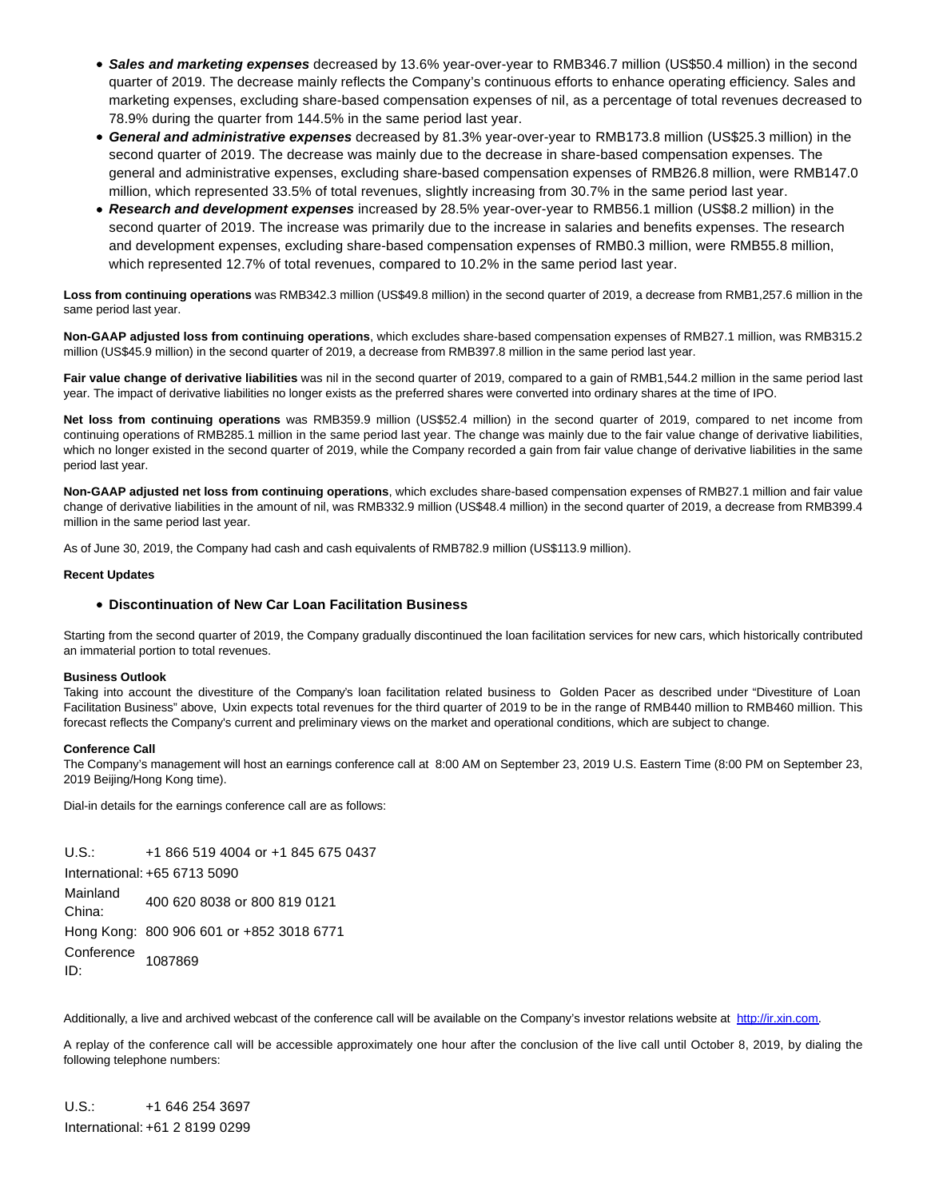- **Sales and marketing expenses** decreased by 13.6% year-over-year to RMB346.7 million (US\$50.4 million) in the second quarter of 2019. The decrease mainly reflects the Company's continuous efforts to enhance operating efficiency. Sales and marketing expenses, excluding share-based compensation expenses of nil, as a percentage of total revenues decreased to 78.9% during the quarter from 144.5% in the same period last year.
- **General and administrative expenses** decreased by 81.3% year-over-year to RMB173.8 million (US\$25.3 million) in the second quarter of 2019. The decrease was mainly due to the decrease in share-based compensation expenses. The general and administrative expenses, excluding share-based compensation expenses of RMB26.8 million, were RMB147.0 million, which represented 33.5% of total revenues, slightly increasing from 30.7% in the same period last year.
- **Research and development expenses** increased by 28.5% year-over-year to RMB56.1 million (US\$8.2 million) in the second quarter of 2019. The increase was primarily due to the increase in salaries and benefits expenses. The research and development expenses, excluding share-based compensation expenses of RMB0.3 million, were RMB55.8 million, which represented 12.7% of total revenues, compared to 10.2% in the same period last year.

**Loss from continuing operations** was RMB342.3 million (US\$49.8 million) in the second quarter of 2019, a decrease from RMB1,257.6 million in the same period last year.

**Non-GAAP adjusted loss from continuing operations**, which excludes share-based compensation expenses of RMB27.1 million, was RMB315.2 million (US\$45.9 million) in the second quarter of 2019, a decrease from RMB397.8 million in the same period last year.

**Fair value change of derivative liabilities** was nil in the second quarter of 2019, compared to a gain of RMB1,544.2 million in the same period last year. The impact of derivative liabilities no longer exists as the preferred shares were converted into ordinary shares at the time of IPO.

**Net loss from continuing operations** was RMB359.9 million (US\$52.4 million) in the second quarter of 2019, compared to net income from continuing operations of RMB285.1 million in the same period last year. The change was mainly due to the fair value change of derivative liabilities, which no longer existed in the second quarter of 2019, while the Company recorded a gain from fair value change of derivative liabilities in the same period last year.

**Non-GAAP adjusted net loss from continuing operations**, which excludes share-based compensation expenses of RMB27.1 million and fair value change of derivative liabilities in the amount of nil, was RMB332.9 million (US\$48.4 million) in the second quarter of 2019, a decrease from RMB399.4 million in the same period last year.

As of June 30, 2019, the Company had cash and cash equivalents of RMB782.9 million (US\$113.9 million).

#### **Recent Updates**

#### **Discontinuation of New Car Loan Facilitation Business**

Starting from the second quarter of 2019, the Company gradually discontinued the loan facilitation services for new cars, which historically contributed an immaterial portion to total revenues.

#### **Business Outlook**

Taking into account the divestiture of the Company's loan facilitation related business to Golden Pacer as described under "Divestiture of Loan Facilitation Business" above, Uxin expects total revenues for the third quarter of 2019 to be in the range of RMB440 million to RMB460 million. This forecast reflects the Company's current and preliminary views on the market and operational conditions, which are subject to change.

#### **Conference Call**

The Company's management will host an earnings conference call at 8:00 AM on September 23, 2019 U.S. Eastern Time (8:00 PM on September 23, 2019 Beijing/Hong Kong time).

Dial-in details for the earnings conference call are as follows:

U.S.: +1 866 519 4004 or +1 845 675 0437 International: +65 6713 5090 Mainland mamana 400 620 8038 or 800 819 0121 Hong Kong: 800 906 601 or +852 3018 6771 **Conference** Conference 1087869

Additionally, a live and archived webcast of the conference call will be available on the Company's investor relations website at [http://ir.xin.com.](https://www.globenewswire.com/Tracker?data=4s0DOlHbU7UE6ThgyXNQ8ZO53mpAlrI5PY7kx4w_iwFWYR21J17V8DQK2FpTUkyHb8dnaepsYWpLPagR-qAACg==)

A replay of the conference call will be accessible approximately one hour after the conclusion of the live call until October 8, 2019, by dialing the following telephone numbers:

U.S.: +1 646 254 3697 International: +61 2 8199 0299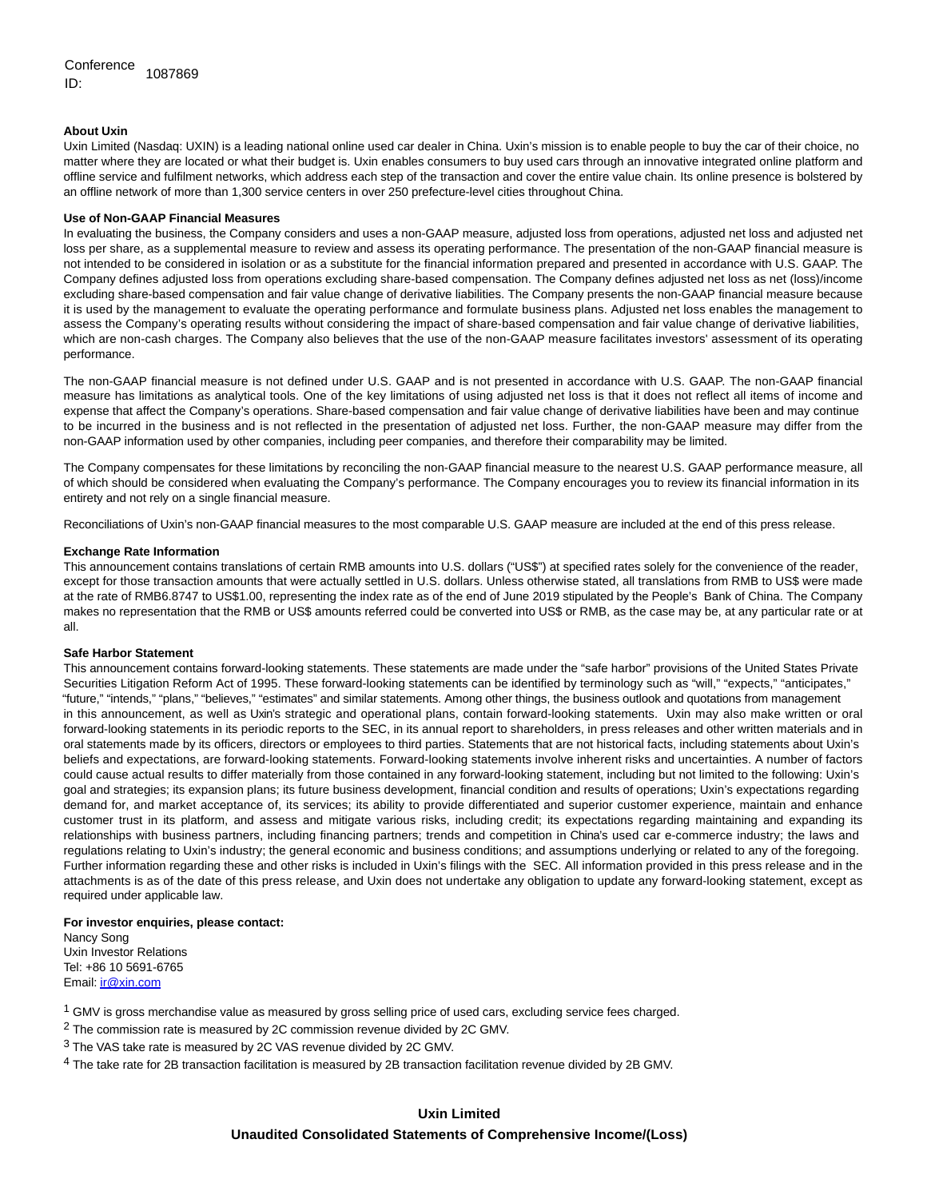#### **About Uxin**

Uxin Limited (Nasdaq: UXIN) is a leading national online used car dealer in China. Uxin's mission is to enable people to buy the car of their choice, no matter where they are located or what their budget is. Uxin enables consumers to buy used cars through an innovative integrated online platform and offline service and fulfilment networks, which address each step of the transaction and cover the entire value chain. Its online presence is bolstered by an offline network of more than 1,300 service centers in over 250 prefecture-level cities throughout China.

#### **Use of Non-GAAP Financial Measures**

In evaluating the business, the Company considers and uses a non-GAAP measure, adjusted loss from operations, adjusted net loss and adjusted net loss per share, as a supplemental measure to review and assess its operating performance. The presentation of the non-GAAP financial measure is not intended to be considered in isolation or as a substitute for the financial information prepared and presented in accordance with U.S. GAAP. The Company defines adjusted loss from operations excluding share-based compensation. The Company defines adjusted net loss as net (loss)/income excluding share-based compensation and fair value change of derivative liabilities. The Company presents the non-GAAP financial measure because it is used by the management to evaluate the operating performance and formulate business plans. Adjusted net loss enables the management to assess the Company's operating results without considering the impact of share-based compensation and fair value change of derivative liabilities, which are non-cash charges. The Company also believes that the use of the non-GAAP measure facilitates investors' assessment of its operating performance.

The non-GAAP financial measure is not defined under U.S. GAAP and is not presented in accordance with U.S. GAAP. The non-GAAP financial measure has limitations as analytical tools. One of the key limitations of using adjusted net loss is that it does not reflect all items of income and expense that affect the Company's operations. Share-based compensation and fair value change of derivative liabilities have been and may continue to be incurred in the business and is not reflected in the presentation of adjusted net loss. Further, the non-GAAP measure may differ from the non-GAAP information used by other companies, including peer companies, and therefore their comparability may be limited.

The Company compensates for these limitations by reconciling the non-GAAP financial measure to the nearest U.S. GAAP performance measure, all of which should be considered when evaluating the Company's performance. The Company encourages you to review its financial information in its entirety and not rely on a single financial measure.

Reconciliations of Uxin's non-GAAP financial measures to the most comparable U.S. GAAP measure are included at the end of this press release.

#### **Exchange Rate Information**

This announcement contains translations of certain RMB amounts into U.S. dollars ("US\$") at specified rates solely for the convenience of the reader, except for those transaction amounts that were actually settled in U.S. dollars. Unless otherwise stated, all translations from RMB to US\$ were made at the rate of RMB6.8747 to US\$1.00, representing the index rate as of the end of June 2019 stipulated by the People's Bank of China. The Company makes no representation that the RMB or US\$ amounts referred could be converted into US\$ or RMB, as the case may be, at any particular rate or at all.

#### **Safe Harbor Statement**

This announcement contains forward-looking statements. These statements are made under the "safe harbor" provisions of the United States Private Securities Litigation Reform Act of 1995. These forward-looking statements can be identified by terminology such as "will," "expects," "anticipates," "future," "intends," "plans," "believes," "estimates" and similar statements. Among other things, the business outlook and quotations from management in this announcement, as well as Uxin's strategic and operational plans, contain forward-looking statements. Uxin may also make written or oral forward-looking statements in its periodic reports to the SEC, in its annual report to shareholders, in press releases and other written materials and in oral statements made by its officers, directors or employees to third parties. Statements that are not historical facts, including statements about Uxin's beliefs and expectations, are forward-looking statements. Forward-looking statements involve inherent risks and uncertainties. A number of factors could cause actual results to differ materially from those contained in any forward-looking statement, including but not limited to the following: Uxin's goal and strategies; its expansion plans; its future business development, financial condition and results of operations; Uxin's expectations regarding demand for, and market acceptance of, its services; its ability to provide differentiated and superior customer experience, maintain and enhance customer trust in its platform, and assess and mitigate various risks, including credit; its expectations regarding maintaining and expanding its relationships with business partners, including financing partners; trends and competition in China's used car e-commerce industry; the laws and regulations relating to Uxin's industry; the general economic and business conditions; and assumptions underlying or related to any of the foregoing. Further information regarding these and other risks is included in Uxin's filings with the SEC. All information provided in this press release and in the attachments is as of the date of this press release, and Uxin does not undertake any obligation to update any forward-looking statement, except as required under applicable law.

#### **For investor enquiries, please contact:**

Nancy Song Uxin Investor Relations Tel: +86 10 5691-6765 Email[: ir@xin.com](mailto:ir@xin.com)

 $1$  GMV is gross merchandise value as measured by gross selling price of used cars, excluding service fees charged.

- <sup>2</sup> The commission rate is measured by 2C commission revenue divided by 2C GMV.
- <sup>3</sup> The VAS take rate is measured by 2C VAS revenue divided by 2C GMV.
- 4 The take rate for 2B transaction facilitation is measured by 2B transaction facilitation revenue divided by 2B GMV.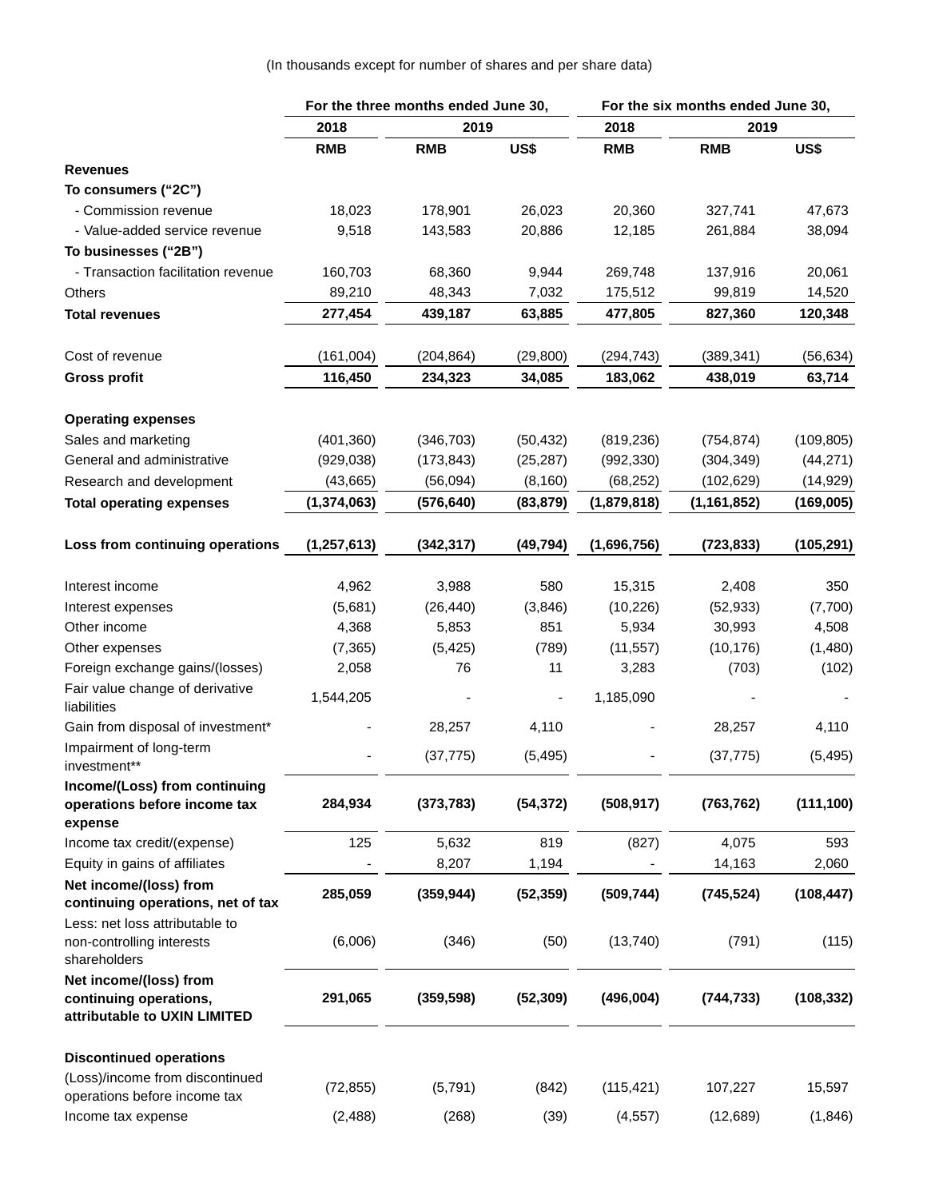(In thousands except for number of shares and per share data)

|                                                                 | For the three months ended June 30, |            |           | For the six months ended June 30, |               |            |  |
|-----------------------------------------------------------------|-------------------------------------|------------|-----------|-----------------------------------|---------------|------------|--|
|                                                                 | 2018                                | 2019       |           | 2018                              | 2019          |            |  |
|                                                                 | <b>RMB</b>                          | <b>RMB</b> | US\$      | <b>RMB</b>                        | <b>RMB</b>    | US\$       |  |
| <b>Revenues</b>                                                 |                                     |            |           |                                   |               |            |  |
| To consumers ("2C")                                             |                                     |            |           |                                   |               |            |  |
| - Commission revenue                                            | 18,023                              | 178,901    | 26,023    | 20,360                            | 327,741       | 47,673     |  |
| - Value-added service revenue                                   | 9,518                               | 143,583    | 20,886    | 12,185                            | 261,884       | 38,094     |  |
| To businesses ("2B")                                            |                                     |            |           |                                   |               |            |  |
| - Transaction facilitation revenue                              | 160,703                             | 68,360     | 9,944     | 269,748                           | 137,916       | 20,061     |  |
| Others                                                          | 89,210                              | 48,343     | 7,032     | 175,512                           | 99,819        | 14,520     |  |
| <b>Total revenues</b>                                           | 277,454                             | 439,187    | 63,885    | 477,805                           | 827,360       | 120,348    |  |
| Cost of revenue                                                 | (161,004)                           | (204, 864) | (29, 800) | (294, 743)                        | (389, 341)    | (56, 634)  |  |
|                                                                 | 116,450                             | 234,323    | 34,085    | 183,062                           | 438,019       | 63,714     |  |
| <b>Gross profit</b>                                             |                                     |            |           |                                   |               |            |  |
| <b>Operating expenses</b>                                       |                                     |            |           |                                   |               |            |  |
| Sales and marketing                                             | (401, 360)                          | (346, 703) | (50, 432) | (819, 236)                        | (754, 874)    | (109, 805) |  |
| General and administrative                                      | (929, 038)                          | (173, 843) | (25, 287) | (992, 330)                        | (304, 349)    | (44, 271)  |  |
| Research and development                                        | (43,665)                            | (56,094)   | (8, 160)  | (68, 252)                         | (102, 629)    | (14, 929)  |  |
| <b>Total operating expenses</b>                                 | (1, 374, 063)                       | (576, 640) | (83, 879) | (1,879,818)                       | (1, 161, 852) | (169,005)  |  |
|                                                                 |                                     |            |           |                                   |               |            |  |
| Loss from continuing operations                                 | (1, 257, 613)                       | (342, 317) | (49, 794) | (1,696,756)                       | (723, 833)    | (105, 291) |  |
| Interest income                                                 | 4,962                               | 3,988      | 580       | 15,315                            | 2,408         | 350        |  |
| Interest expenses                                               | (5,681)                             | (26, 440)  | (3,846)   | (10, 226)                         | (52, 933)     | (7,700)    |  |
| Other income                                                    | 4,368                               | 5,853      | 851       | 5,934                             | 30,993        | 4,508      |  |
| Other expenses                                                  | (7, 365)                            | (5, 425)   | (789)     | (11, 557)                         | (10, 176)     | (1,480)    |  |
| Foreign exchange gains/(losses)                                 | 2,058                               | 76         | 11        | 3,283                             | (703)         | (102)      |  |
| Fair value change of derivative<br>liabilities                  | 1,544,205                           |            |           | 1,185,090                         |               |            |  |
|                                                                 |                                     |            |           |                                   | 28,257        |            |  |
| Gain from disposal of investment*                               |                                     | 28,257     | 4,110     |                                   |               | 4,110      |  |
| Impairment of long-term<br>investment**                         |                                     | (37, 775)  | (5, 495)  |                                   | (37, 775)     | (5, 495)   |  |
| Income/(Loss) from continuing                                   |                                     |            |           |                                   |               |            |  |
| operations before income tax                                    | 284,934                             | (373, 783) | (54, 372) | (508, 917)                        | (763, 762)    | (111, 100) |  |
| expense                                                         |                                     |            |           |                                   |               |            |  |
| Income tax credit/(expense)                                     | 125                                 | 5,632      | 819       | (827)                             | 4,075         | 593        |  |
| Equity in gains of affiliates                                   |                                     | 8,207      | 1,194     |                                   | 14,163        | 2,060      |  |
| Net income/(loss) from<br>continuing operations, net of tax     | 285,059                             | (359, 944) | (52, 359) | (509, 744)                        | (745, 524)    | (108, 447) |  |
| Less: net loss attributable to                                  |                                     |            |           |                                   |               |            |  |
| non-controlling interests<br>shareholders                       | (6,006)                             | (346)      | (50)      | (13, 740)                         | (791)         | (115)      |  |
| Net income/(loss) from                                          |                                     |            |           |                                   |               |            |  |
| continuing operations,<br>attributable to UXIN LIMITED          | 291,065                             | (359, 598) | (52, 309) | (496,004)                         | (744, 733)    | (108, 332) |  |
|                                                                 |                                     |            |           |                                   |               |            |  |
| <b>Discontinued operations</b>                                  |                                     |            |           |                                   |               |            |  |
| (Loss)/income from discontinued<br>operations before income tax | (72, 855)                           | (5,791)    | (842)     | (115, 421)                        | 107,227       | 15,597     |  |
| Income tax expense                                              | (2, 488)                            | (268)      | (39)      | (4, 557)                          | (12,689)      | (1, 846)   |  |
|                                                                 |                                     |            |           |                                   |               |            |  |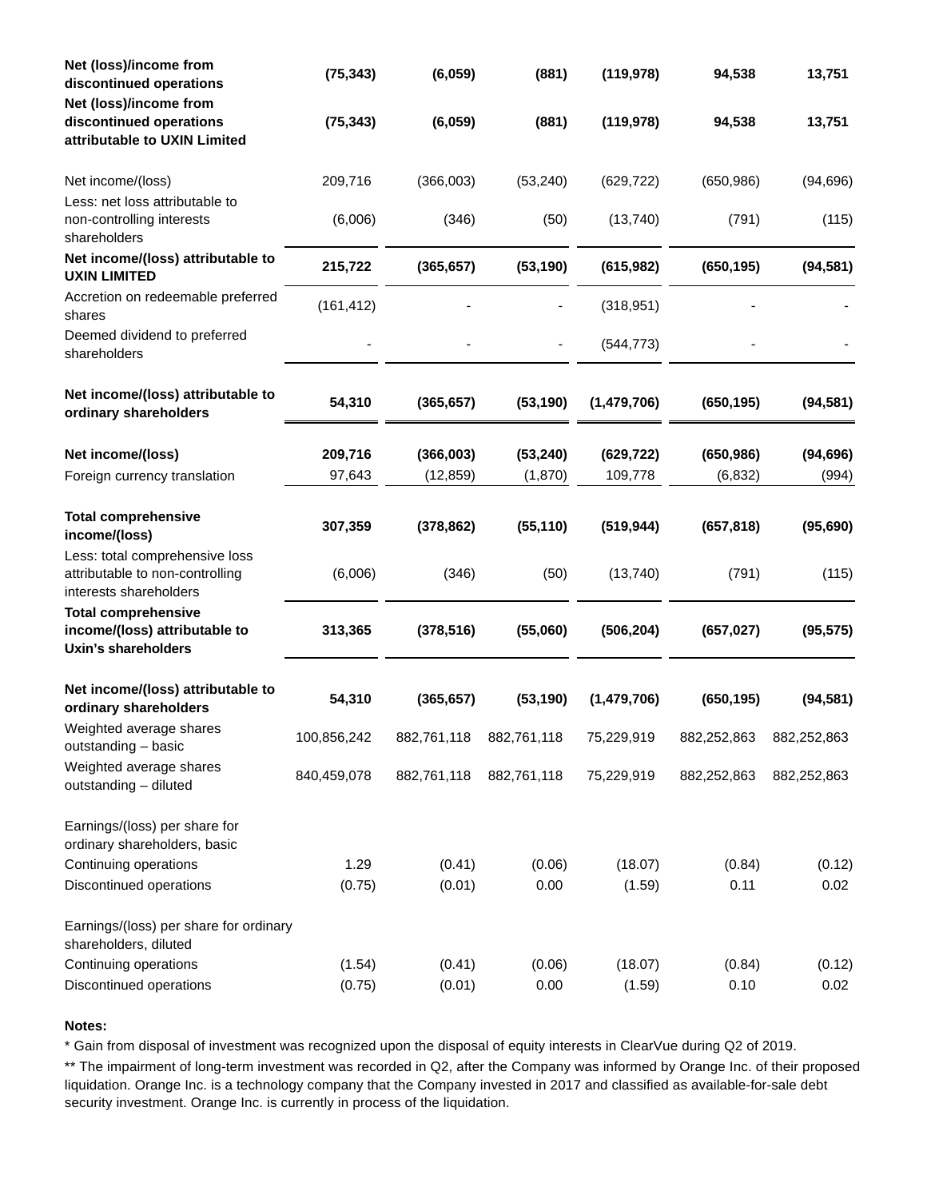| Net (loss)/income from<br>discontinued operations                                           | (75, 343)   | (6,059)     | (881)       | (119, 978)  | 94,538      | 13,751      |
|---------------------------------------------------------------------------------------------|-------------|-------------|-------------|-------------|-------------|-------------|
| Net (loss)/income from<br>discontinued operations<br>attributable to UXIN Limited           | (75, 343)   | (6,059)     | (881)       | (119, 978)  | 94,538      | 13,751      |
| Net income/(loss)                                                                           | 209,716     | (366,003)   | (53, 240)   | (629, 722)  | (650, 986)  | (94, 696)   |
| Less: net loss attributable to<br>non-controlling interests<br>shareholders                 | (6,006)     | (346)       | (50)        | (13, 740)   | (791)       | (115)       |
| Net income/(loss) attributable to<br><b>UXIN LIMITED</b>                                    | 215,722     | (365, 657)  | (53, 190)   | (615, 982)  | (650, 195)  | (94, 581)   |
| Accretion on redeemable preferred<br>shares                                                 | (161, 412)  |             |             | (318, 951)  |             |             |
| Deemed dividend to preferred<br>shareholders                                                |             |             |             | (544, 773)  |             |             |
| Net income/(loss) attributable to<br>ordinary shareholders                                  | 54,310      | (365, 657)  | (53, 190)   | (1,479,706) | (650, 195)  | (94, 581)   |
| Net income/(loss)                                                                           | 209,716     | (366,003)   | (53, 240)   | (629, 722)  | (650, 986)  | (94, 696)   |
| Foreign currency translation                                                                | 97,643      | (12, 859)   | (1,870)     | 109,778     | (6, 832)    | (994)       |
| <b>Total comprehensive</b><br>income/(loss)                                                 | 307,359     | (378, 862)  | (55, 110)   | (519, 944)  | (657, 818)  | (95, 690)   |
| Less: total comprehensive loss<br>attributable to non-controlling<br>interests shareholders | (6,006)     | (346)       | (50)        | (13, 740)   | (791)       | (115)       |
| <b>Total comprehensive</b><br>income/(loss) attributable to<br>Uxin's shareholders          | 313,365     | (378, 516)  | (55,060)    | (506, 204)  | (657, 027)  | (95, 575)   |
| Net income/(loss) attributable to<br>ordinary shareholders                                  | 54,310      | (365, 657)  | (53, 190)   | (1,479,706) | (650, 195)  | (94, 581)   |
| Weighted average shares<br>outstanding - basic                                              | 100,856,242 | 882,761,118 | 882,761,118 | 75,229,919  | 882,252,863 | 882,252,863 |
| Weighted average shares<br>outstanding - diluted                                            | 840,459,078 | 882,761,118 | 882,761,118 | 75,229,919  | 882,252,863 | 882,252,863 |
| Earnings/(loss) per share for<br>ordinary shareholders, basic                               |             |             |             |             |             |             |
| Continuing operations                                                                       | 1.29        | (0.41)      | (0.06)      | (18.07)     | (0.84)      | (0.12)      |
| Discontinued operations                                                                     | (0.75)      | (0.01)      | 0.00        | (1.59)      | 0.11        | 0.02        |
| Earnings/(loss) per share for ordinary<br>shareholders, diluted                             |             |             |             |             |             |             |
| Continuing operations                                                                       | (1.54)      | (0.41)      | (0.06)      | (18.07)     | (0.84)      | (0.12)      |
| Discontinued operations                                                                     | (0.75)      | (0.01)      | 0.00        | (1.59)      | 0.10        | 0.02        |

**Notes:**

\* Gain from disposal of investment was recognized upon the disposal of equity interests in ClearVue during Q2 of 2019.

\*\* The impairment of long-term investment was recorded in Q2, after the Company was informed by Orange Inc. of their proposed liquidation. Orange Inc. is a technology company that the Company invested in 2017 and classified as available-for-sale debt security investment. Orange Inc. is currently in process of the liquidation.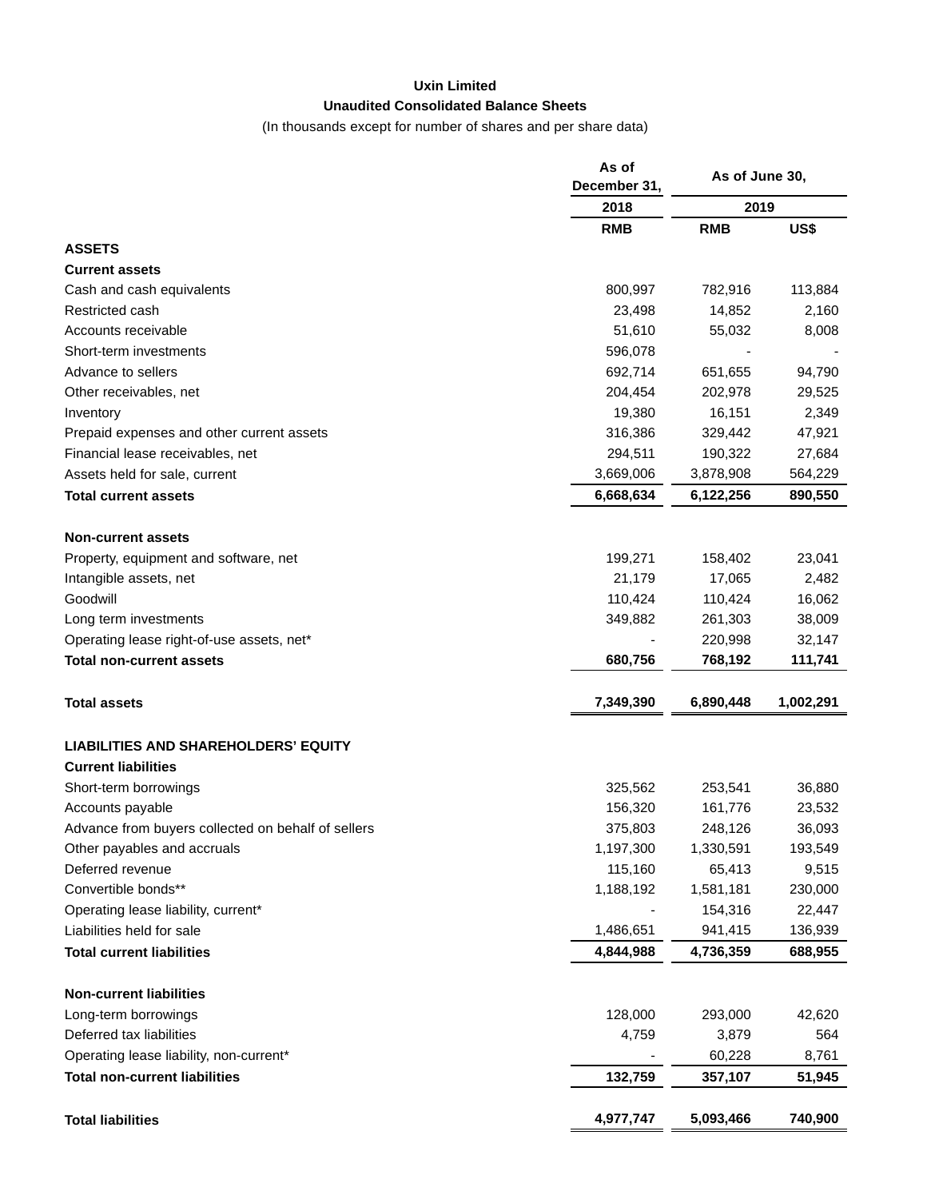# **Uxin Limited Unaudited Consolidated Balance Sheets**

(In thousands except for number of shares and per share data)

|                                                    | As of<br>December 31, | As of June 30,       |                   |  |
|----------------------------------------------------|-----------------------|----------------------|-------------------|--|
|                                                    | 2018                  |                      | 2019              |  |
|                                                    | <b>RMB</b>            | <b>RMB</b>           | US\$              |  |
| <b>ASSETS</b>                                      |                       |                      |                   |  |
| <b>Current assets</b>                              |                       |                      |                   |  |
| Cash and cash equivalents                          | 800,997               | 782,916              | 113,884           |  |
| Restricted cash                                    | 23,498                | 14,852               | 2,160             |  |
| Accounts receivable                                | 51,610                | 55,032               | 8,008             |  |
| Short-term investments                             | 596,078               |                      |                   |  |
| Advance to sellers                                 | 692,714               | 651,655              | 94,790            |  |
| Other receivables, net                             | 204,454               | 202,978              | 29,525            |  |
| Inventory                                          | 19,380                | 16,151               | 2,349             |  |
| Prepaid expenses and other current assets          | 316,386               | 329,442              | 47,921            |  |
| Financial lease receivables, net                   | 294,511               | 190,322              | 27,684            |  |
| Assets held for sale, current                      | 3,669,006             | 3,878,908            | 564,229           |  |
| <b>Total current assets</b>                        | 6,668,634             | 6,122,256            | 890,550           |  |
|                                                    |                       |                      |                   |  |
| <b>Non-current assets</b>                          |                       |                      |                   |  |
| Property, equipment and software, net              | 199,271               | 158,402              | 23,041            |  |
| Intangible assets, net                             | 21,179                | 17,065               | 2,482             |  |
| Goodwill                                           | 110,424               | 110,424              | 16,062            |  |
| Long term investments                              | 349,882               | 261,303              | 38,009            |  |
| Operating lease right-of-use assets, net*          |                       | 220,998              | 32,147            |  |
| <b>Total non-current assets</b>                    | 680,756               | 768,192              | 111,741           |  |
| <b>Total assets</b>                                | 7,349,390             | 6,890,448            | 1,002,291         |  |
|                                                    |                       |                      |                   |  |
| <b>LIABILITIES AND SHAREHOLDERS' EQUITY</b>        |                       |                      |                   |  |
| <b>Current liabilities</b>                         |                       |                      |                   |  |
| Short-term borrowings                              | 325,562               | 253,541              | 36,880            |  |
| Accounts payable                                   | 156,320               | 161,776              | 23,532            |  |
| Advance from buyers collected on behalf of sellers | 375,803<br>1,197,300  | 248,126<br>1,330,591 | 36,093<br>193,549 |  |
| Other payables and accruals                        |                       |                      |                   |  |
| Deferred revenue                                   | 115,160               | 65,413               | 9,515             |  |
| Convertible bonds**                                | 1,188,192             | 1,581,181            | 230,000           |  |
| Operating lease liability, current*                |                       | 154,316              | 22,447            |  |
| Liabilities held for sale                          | 1,486,651             | 941,415              | 136,939           |  |
| <b>Total current liabilities</b>                   | 4,844,988             | 4,736,359            | 688,955           |  |
| <b>Non-current liabilities</b>                     |                       |                      |                   |  |
| Long-term borrowings                               | 128,000               | 293,000              | 42,620            |  |
| Deferred tax liabilities                           | 4,759                 | 3,879                | 564               |  |
| Operating lease liability, non-current*            |                       | 60,228               | 8,761             |  |
| <b>Total non-current liabilities</b>               | 132,759               | 357,107              | 51,945            |  |
|                                                    |                       |                      |                   |  |
| <b>Total liabilities</b>                           | 4,977,747             | 5,093,466            | 740,900           |  |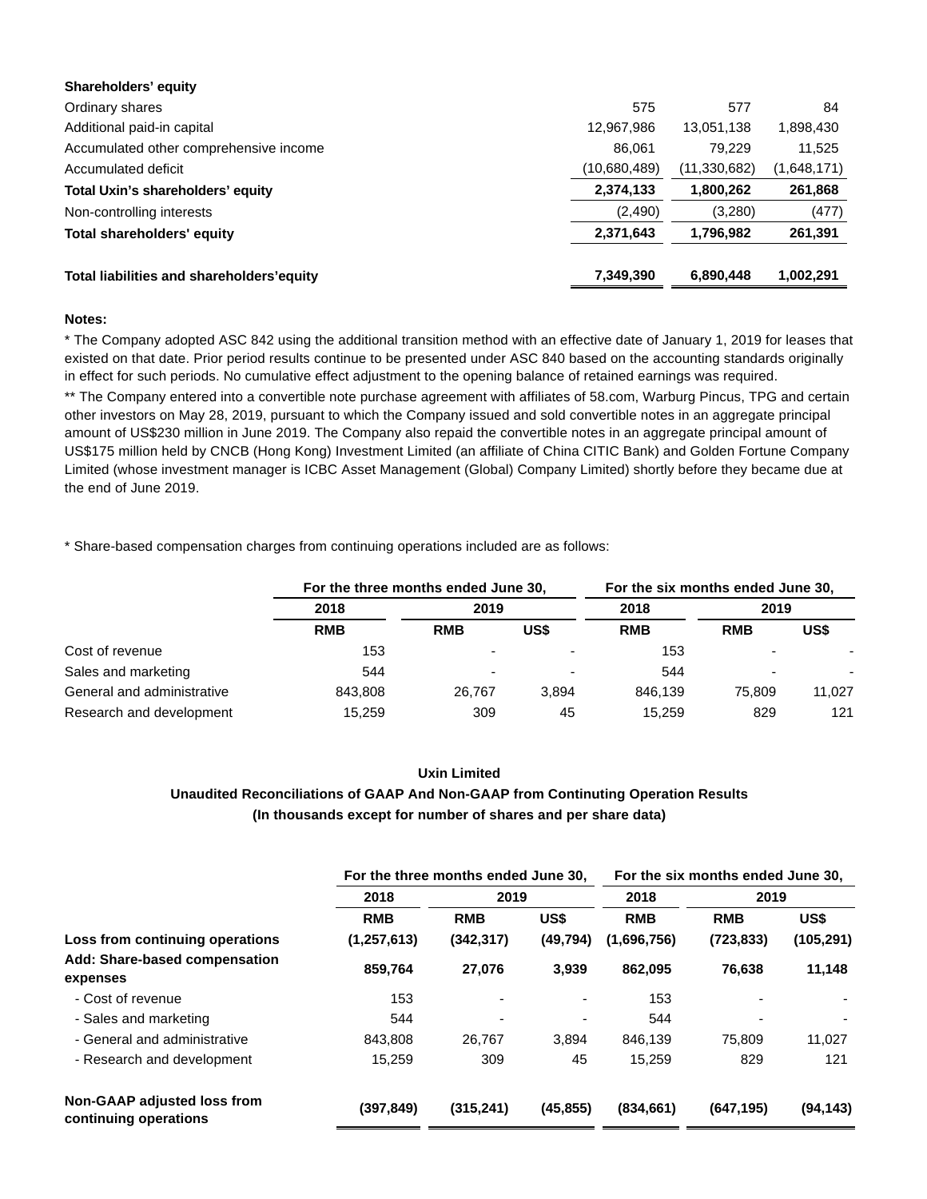| Shareholders' equity                      |              |                |             |
|-------------------------------------------|--------------|----------------|-------------|
| Ordinary shares                           | 575          | 577            | 84          |
| Additional paid-in capital                | 12,967,986   | 13,051,138     | 1,898,430   |
| Accumulated other comprehensive income    | 86.061       | 79.229         | 11.525      |
| Accumulated deficit                       | (10,680,489) | (11, 330, 682) | (1,648,171) |
| Total Uxin's shareholders' equity         | 2,374,133    | 1,800,262      | 261,868     |
| Non-controlling interests                 | (2,490)      | (3,280)        | (477)       |
| <b>Total shareholders' equity</b>         | 2,371,643    | 1,796,982      | 261,391     |
| Total liabilities and shareholders'equity | 7.349.390    | 6,890,448      | 1,002,291   |

# **Notes:**

\* The Company adopted ASC 842 using the additional transition method with an effective date of January 1, 2019 for leases that existed on that date. Prior period results continue to be presented under ASC 840 based on the accounting standards originally in effect for such periods. No cumulative effect adjustment to the opening balance of retained earnings was required. \*\* The Company entered into a convertible note purchase agreement with affiliates of 58.com, Warburg Pincus, TPG and certain other investors on May 28, 2019, pursuant to which the Company issued and sold convertible notes in an aggregate principal amount of US\$230 million in June 2019. The Company also repaid the convertible notes in an aggregate principal amount of US\$175 million held by CNCB (Hong Kong) Investment Limited (an affiliate of China CITIC Bank) and Golden Fortune Company Limited (whose investment manager is ICBC Asset Management (Global) Company Limited) shortly before they became due at the end of June 2019.

\* Share-based compensation charges from continuing operations included are as follows:

|                            | For the three months ended June 30. |            |       | For the six months ended June 30, |            |        |  |
|----------------------------|-------------------------------------|------------|-------|-----------------------------------|------------|--------|--|
|                            | 2018                                | 2019       |       | 2018                              | 2019       |        |  |
|                            | <b>RMB</b>                          | <b>RMB</b> | US\$  | <b>RMB</b>                        | <b>RMB</b> | US\$   |  |
| Cost of revenue            | 153                                 |            |       | 153                               |            |        |  |
| Sales and marketing        | 544                                 | ۰          |       | 544                               |            |        |  |
| General and administrative | 843,808                             | 26.767     | 3.894 | 846.139                           | 75.809     | 11.027 |  |
| Research and development   | 15,259                              | 309        | 45    | 15.259                            | 829        | 121    |  |

# **Uxin Limited**

# **Unaudited Reconciliations of GAAP And Non-GAAP from Continuting Operation Results**

**(In thousands except for number of shares and per share data)**

|                                                      |                             | For the three months ended June 30. |                   | For the six months ended June 30,    |                                    |                              |
|------------------------------------------------------|-----------------------------|-------------------------------------|-------------------|--------------------------------------|------------------------------------|------------------------------|
|                                                      | 2018                        | 2019                                |                   | 2018                                 | 2019                               |                              |
| Loss from continuing operations                      | <b>RMB</b><br>(1, 257, 613) | <b>RMB</b><br>(342, 317)            | US\$<br>(49, 794) | <b>RMB</b><br>(1,696,756)<br>862.095 | <b>RMB</b><br>(723, 833)<br>76.638 | US\$<br>(105, 291)<br>11,148 |
| Add: Share-based compensation<br>expenses            | 859,764                     | 27,076                              | 3.939             |                                      |                                    |                              |
| - Cost of revenue                                    | 153                         |                                     |                   | 153                                  |                                    |                              |
| - Sales and marketing                                | 544                         | $\overline{\phantom{0}}$            |                   | 544                                  |                                    |                              |
| - General and administrative                         | 843,808                     | 26,767                              | 3,894             | 846,139                              | 75.809                             | 11,027                       |
| - Research and development                           | 15,259                      | 309                                 | 45                | 15,259                               | 829                                | 121                          |
| Non-GAAP adjusted loss from<br>continuing operations | (397, 849)                  | (315, 241)                          | (45, 855)         | (834, 661)                           | (647, 195)                         | (94, 143)                    |